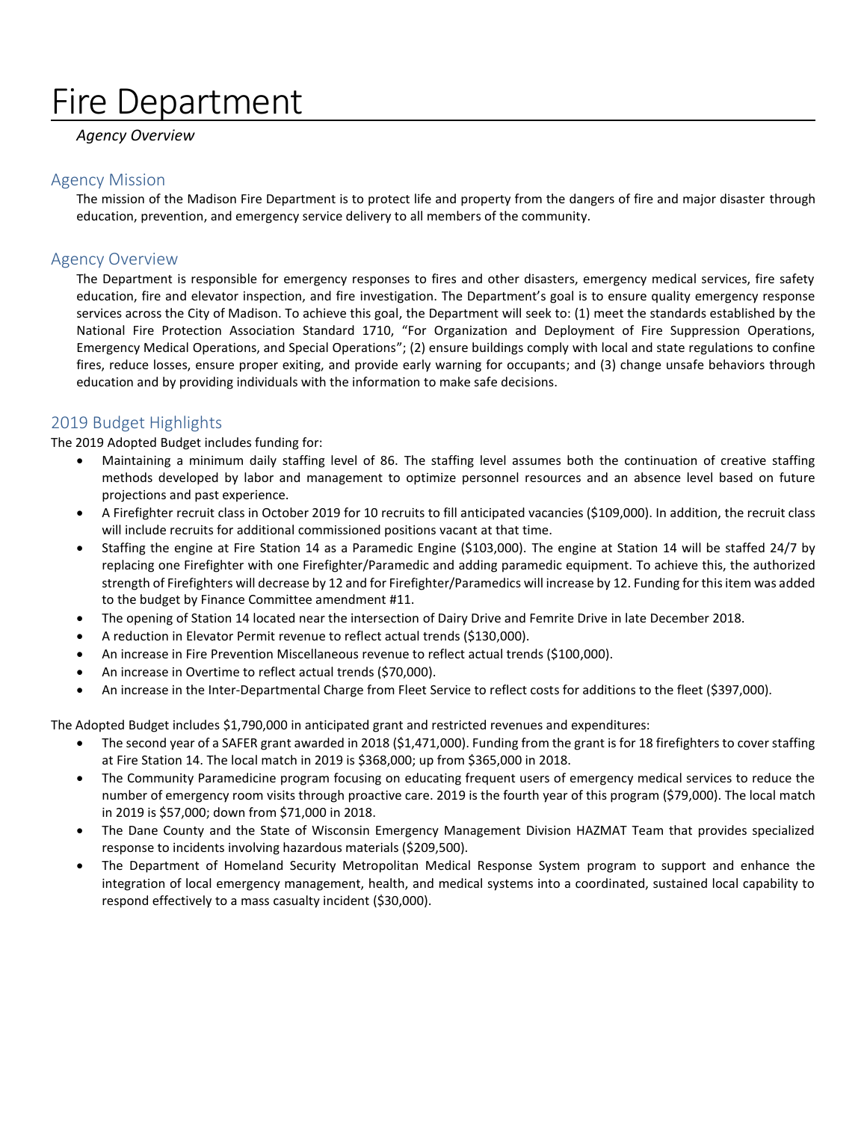# Fire Department

# *Agency Overview*

## Agency Mission

The mission of the Madison Fire Department is to protect life and property from the dangers of fire and major disaster through education, prevention, and emergency service delivery to all members of the community.

# Agency Overview

The Department is responsible for emergency responses to fires and other disasters, emergency medical services, fire safety education, fire and elevator inspection, and fire investigation. The Department's goal is to ensure quality emergency response services across the City of Madison. To achieve this goal, the Department will seek to: (1) meet the standards established by the National Fire Protection Association Standard 1710, "For Organization and Deployment of Fire Suppression Operations, Emergency Medical Operations, and Special Operations"; (2) ensure buildings comply with local and state regulations to confine fires, reduce losses, ensure proper exiting, and provide early warning for occupants; and (3) change unsafe behaviors through education and by providing individuals with the information to make safe decisions.

# 2019 Budget Highlights

The 2019 Adopted Budget includes funding for:

- Maintaining a minimum daily staffing level of 86. The staffing level assumes both the continuation of creative staffing methods developed by labor and management to optimize personnel resources and an absence level based on future projections and past experience.
- A Firefighter recruit class in October 2019 for 10 recruits to fill anticipated vacancies (\$109,000). In addition, the recruit class will include recruits for additional commissioned positions vacant at that time.
- Staffing the engine at Fire Station 14 as a Paramedic Engine (\$103,000). The engine at Station 14 will be staffed 24/7 by replacing one Firefighter with one Firefighter/Paramedic and adding paramedic equipment. To achieve this, the authorized strength of Firefighters will decrease by 12 and for Firefighter/Paramedics will increase by 12. Funding for this item was added to the budget by Finance Committee amendment #11.
- The opening of Station 14 located near the intersection of Dairy Drive and Femrite Drive in late December 2018.
- A reduction in Elevator Permit revenue to reflect actual trends (\$130,000).
- An increase in Fire Prevention Miscellaneous revenue to reflect actual trends (\$100,000).
- An increase in Overtime to reflect actual trends (\$70,000).
- An increase in the Inter-Departmental Charge from Fleet Service to reflect costs for additions to the fleet (\$397,000).

The Adopted Budget includes \$1,790,000 in anticipated grant and restricted revenues and expenditures:

- The second year of a SAFER grant awarded in 2018 (\$1,471,000). Funding from the grant is for 18 firefighters to cover staffing at Fire Station 14. The local match in 2019 is \$368,000; up from \$365,000 in 2018.
- The Community Paramedicine program focusing on educating frequent users of emergency medical services to reduce the number of emergency room visits through proactive care. 2019 is the fourth year of this program (\$79,000). The local match in 2019 is \$57,000; down from \$71,000 in 2018.
- The Dane County and the State of Wisconsin Emergency Management Division HAZMAT Team that provides specialized response to incidents involving hazardous materials (\$209,500).
- The Department of Homeland Security Metropolitan Medical Response System program to support and enhance the integration of local emergency management, health, and medical systems into a coordinated, sustained local capability to respond effectively to a mass casualty incident (\$30,000).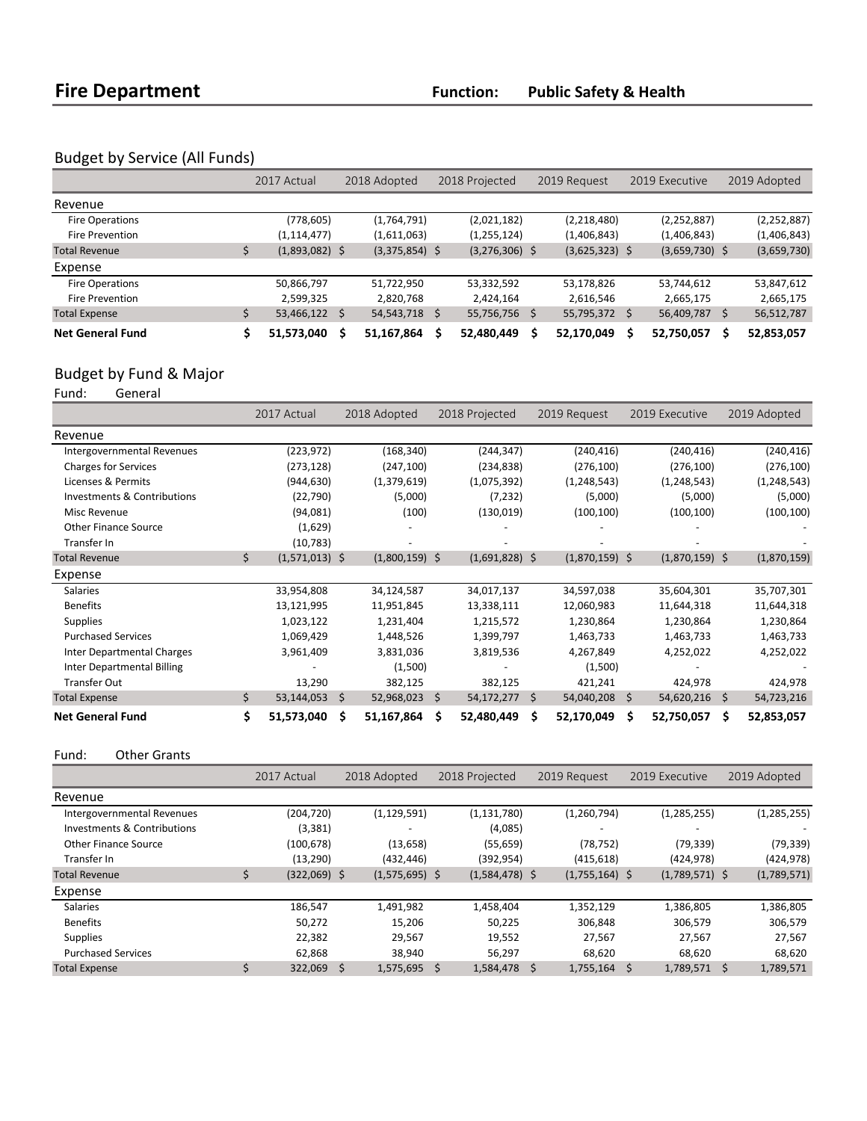# Budget by Service (All Funds)

|                         | 2017 Actual      | 2018 Adopted |                  | 2018 Projected |                  | 2019 Request |                  | 2019 Executive |                  | 2019 Adopted |               |
|-------------------------|------------------|--------------|------------------|----------------|------------------|--------------|------------------|----------------|------------------|--------------|---------------|
| Revenue                 |                  |              |                  |                |                  |              |                  |                |                  |              |               |
| Fire Operations         | (778,605)        |              | (1,764,791)      |                | (2,021,182)      |              | (2,218,480)      |                | (2, 252, 887)    |              | (2, 252, 887) |
| <b>Fire Prevention</b>  | (1, 114, 477)    |              | (1,611,063)      |                | (1, 255, 124)    |              | (1,406,843)      |                | (1,406,843)      |              | (1,406,843)   |
| <b>Total Revenue</b>    | $(1,893,082)$ \$ |              | $(3,375,854)$ \$ |                | $(3,276,306)$ \$ |              | $(3,625,323)$ \$ |                | $(3,659,730)$ \$ |              | (3,659,730)   |
| Expense                 |                  |              |                  |                |                  |              |                  |                |                  |              |               |
| Fire Operations         | 50,866,797       |              | 51,722,950       |                | 53,332,592       |              | 53,178,826       |                | 53,744,612       |              | 53,847,612    |
| <b>Fire Prevention</b>  | 2,599,325        |              | 2,820,768        |                | 2,424,164        |              | 2,616,546        |                | 2,665,175        |              | 2,665,175     |
| <b>Total Expense</b>    | 53,466,122 \$    |              | 54, 543, 718     | Ŝ              | 55,756,756       | Ś            | 55,795,372 \$    |                | 56,409,787       | \$           | 56,512,787    |
| <b>Net General Fund</b> | 51,573,040       |              | 51,167,864       |                | 52,480,449       |              | 52,170,049       |                | 52,750,057       | s            | 52,853,057    |

# Budget by Fund & Major<br>Fund: General

General

|                                   | 2017 Actual            |     | 2018 Adopted     |     | 2018 Projected   |    | 2019 Request     |     | 2019 Executive   |     | 2019 Adopted  |
|-----------------------------------|------------------------|-----|------------------|-----|------------------|----|------------------|-----|------------------|-----|---------------|
| Revenue                           |                        |     |                  |     |                  |    |                  |     |                  |     |               |
| <b>Intergovernmental Revenues</b> | (223, 972)             |     | (168, 340)       |     | (244, 347)       |    | (240, 416)       |     | (240, 416)       |     | (240, 416)    |
| <b>Charges for Services</b>       | (273, 128)             |     | (247, 100)       |     | (234, 838)       |    | (276, 100)       |     | (276, 100)       |     | (276, 100)    |
| Licenses & Permits                | (944, 630)             |     | (1,379,619)      |     | (1,075,392)      |    | (1, 248, 543)    |     | (1, 248, 543)    |     | (1, 248, 543) |
| Investments & Contributions       | (22, 790)              |     | (5,000)          |     | (7, 232)         |    | (5,000)          |     | (5,000)          |     | (5,000)       |
| Misc Revenue                      | (94,081)               |     | (100)            |     | (130,019)        |    | (100, 100)       |     | (100, 100)       |     | (100, 100)    |
| <b>Other Finance Source</b>       | (1,629)                |     |                  |     |                  |    |                  |     |                  |     |               |
| Transfer In                       | (10, 783)              |     |                  |     |                  |    |                  |     |                  |     |               |
| <b>Total Revenue</b>              | \$<br>$(1,571,013)$ \$ |     | $(1,800,159)$ \$ |     | $(1,691,828)$ \$ |    | $(1,870,159)$ \$ |     | $(1,870,159)$ \$ |     | (1,870,159)   |
| Expense                           |                        |     |                  |     |                  |    |                  |     |                  |     |               |
| <b>Salaries</b>                   | 33,954,808             |     | 34,124,587       |     | 34,017,137       |    | 34,597,038       |     | 35,604,301       |     | 35,707,301    |
| <b>Benefits</b>                   | 13,121,995             |     | 11,951,845       |     | 13,338,111       |    | 12,060,983       |     | 11,644,318       |     | 11,644,318    |
| <b>Supplies</b>                   | 1,023,122              |     | 1,231,404        |     | 1,215,572        |    | 1,230,864        |     | 1,230,864        |     | 1,230,864     |
| <b>Purchased Services</b>         | 1,069,429              |     | 1,448,526        |     | 1,399,797        |    | 1,463,733        |     | 1,463,733        |     | 1,463,733     |
| <b>Inter Departmental Charges</b> | 3,961,409              |     | 3,831,036        |     | 3,819,536        |    | 4,267,849        |     | 4,252,022        |     | 4,252,022     |
| <b>Inter Departmental Billing</b> |                        |     | (1,500)          |     |                  |    | (1,500)          |     |                  |     |               |
| <b>Transfer Out</b>               | 13,290                 |     | 382,125          |     | 382,125          |    | 421,241          |     | 424,978          |     | 424,978       |
| <b>Total Expense</b>              | \$<br>53,144,053       | \$. | 52,968,023       | \$. | 54,172,277       | \$ | 54,040,208       | \$. | 54,620,216       | \$  | 54,723,216    |
| <b>Net General Fund</b>           | \$<br>51,573,040       | S   | 51,167,864       | Ś.  | 52,480,449       | \$ | 52,170,049       | S   | 52,750,057       | \$. | 52,853,057    |

Fund: Other Grants

|                             | 2017 Actual    |      | 2018 Adopted     |  | 2018 Projected   |   | 2019 Request     |  | 2019 Executive   |   | 2019 Adopted  |  |
|-----------------------------|----------------|------|------------------|--|------------------|---|------------------|--|------------------|---|---------------|--|
| Revenue                     |                |      |                  |  |                  |   |                  |  |                  |   |               |  |
| Intergovernmental Revenues  | (204, 720)     |      | (1, 129, 591)    |  | (1, 131, 780)    |   | (1,260,794)      |  | (1, 285, 255)    |   | (1, 285, 255) |  |
| Investments & Contributions | (3,381)        |      |                  |  | (4,085)          |   |                  |  |                  |   |               |  |
| <b>Other Finance Source</b> | (100, 678)     |      | (13, 658)        |  | (55, 659)        |   | (78, 752)        |  | (79, 339)        |   | (79, 339)     |  |
| Transfer In                 | (13, 290)      |      | (432, 446)       |  | (392,954)        |   | (415, 618)       |  | (424, 978)       |   | (424, 978)    |  |
| <b>Total Revenue</b>        | $(322,069)$ \$ |      | $(1,575,695)$ \$ |  | $(1,584,478)$ \$ |   | $(1,755,164)$ \$ |  | $(1,789,571)$ \$ |   | (1,789,571)   |  |
| Expense                     |                |      |                  |  |                  |   |                  |  |                  |   |               |  |
| <b>Salaries</b>             | 186,547        |      | 1,491,982        |  | 1,458,404        |   | 1,352,129        |  | 1,386,805        |   | 1,386,805     |  |
| <b>Benefits</b>             | 50.272         |      | 15,206           |  | 50,225           |   | 306,848          |  | 306,579          |   | 306,579       |  |
| <b>Supplies</b>             | 22,382         |      | 29,567           |  | 19,552           |   | 27,567           |  | 27,567           |   | 27,567        |  |
| <b>Purchased Services</b>   | 62,868         |      | 38,940           |  | 56,297           |   | 68,620           |  | 68,620           |   | 68,620        |  |
| <b>Total Expense</b>        | 322,069        | - \$ | $1,575,695$ \$   |  | 1,584,478        | Ŝ | $1,755,164$ \$   |  | 1,789,571        | Ŝ | 1,789,571     |  |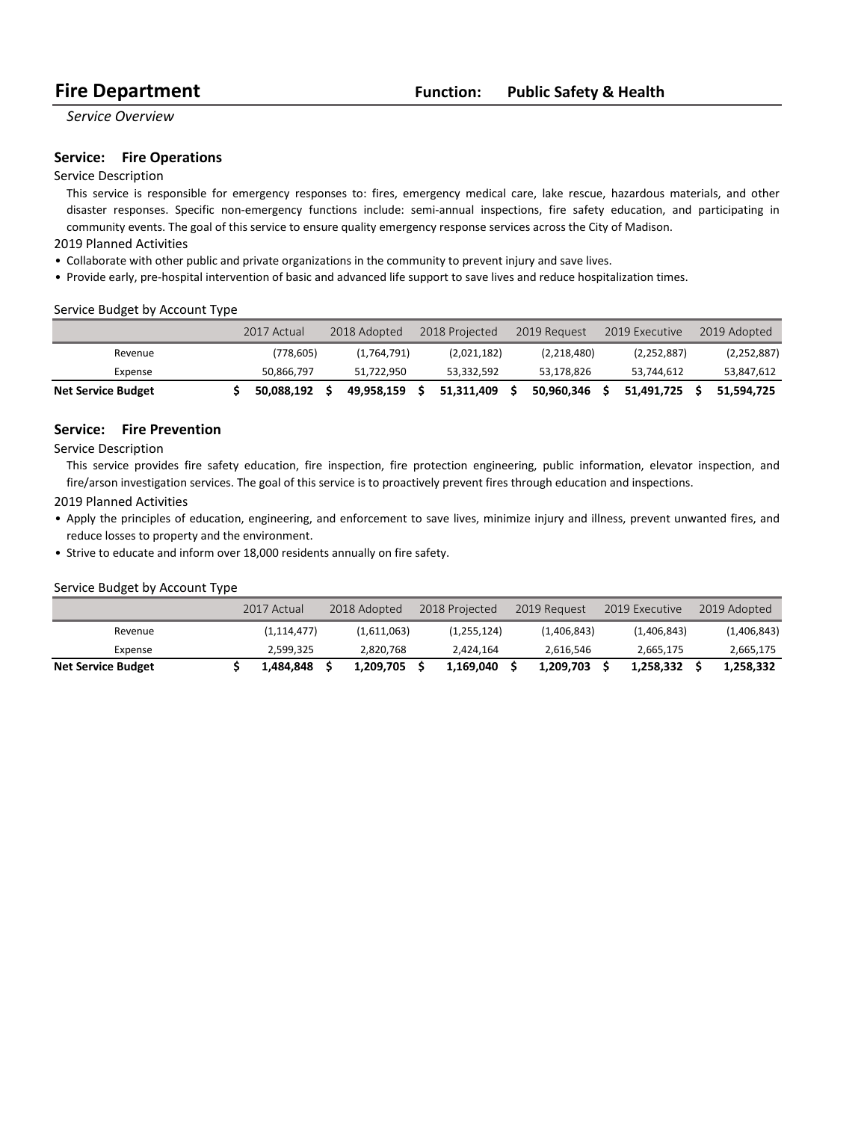# **Fire Department Function: Public Safety & Health**

*Service Overview*

### **Service:** Fire Operations

### Service Description

This service is responsible for emergency responses to: fires, emergency medical care, lake rescue, hazardous materials, and other disaster responses. Specific non-emergency functions include: semi-annual inspections, fire safety education, and participating in community events. The goal of this service to ensure quality emergency response services across the City of Madison.

### 2019 Planned Activities

- Collaborate with other public and private organizations in the community to prevent injury and save lives.
- Provide early, pre-hospital intervention of basic and advanced life support to save lives and reduce hospitalization times.

### Service Budget by Account Type

|                           | 2017 Actual | 2018 Adopted | 2018 Projected | 2019 Request | 2019 Executive | 2019 Adopted  |
|---------------------------|-------------|--------------|----------------|--------------|----------------|---------------|
| Revenue                   | (778,605)   | (1,764,791)  | (2,021,182)    | (2,218,480)  | (2, 252, 887)  | (2, 252, 887) |
| Expense                   | 50.866.797  | 51.722.950   | 53.332.592     | 53.178.826   | 53.744.612     | 53,847,612    |
| <b>Net Service Budget</b> | 50.088.192  | 49.958.159   | 51.311.409     | 50.960.346   | 51.491.725     | 51.594.725    |

### **Service:** Fire Prevention

Service Description

This service provides fire safety education, fire inspection, fire protection engineering, public information, elevator inspection, and fire/arson investigation services. The goal of this service is to proactively prevent fires through education and inspections.

#### 2019 Planned Activities

- Apply the principles of education, engineering, and enforcement to save lives, minimize injury and illness, prevent unwanted fires, and reduce losses to property and the environment.
- Strive to educate and inform over 18,000 residents annually on fire safety.

#### Service Budget by Account Type

|                           | 2017 Actual   | 2018 Adopted | 2018 Projected | 2019 Request | 2019 Executive | 2019 Adopted |
|---------------------------|---------------|--------------|----------------|--------------|----------------|--------------|
| Revenue                   | (1, 114, 477) | (1,611,063)  | (1,255,124)    | (1,406,843)  | (1,406,843)    | (1,406,843)  |
| Expense                   | 2.599.325     | 2,820,768    | 2.424.164      | 2.616.546    | 2,665,175      | 2,665,175    |
| <b>Net Service Budget</b> | 1.484.848     | 1.209.705    | 1.169.040      | 1.209.703    | 1.258.332      | 1.258.332    |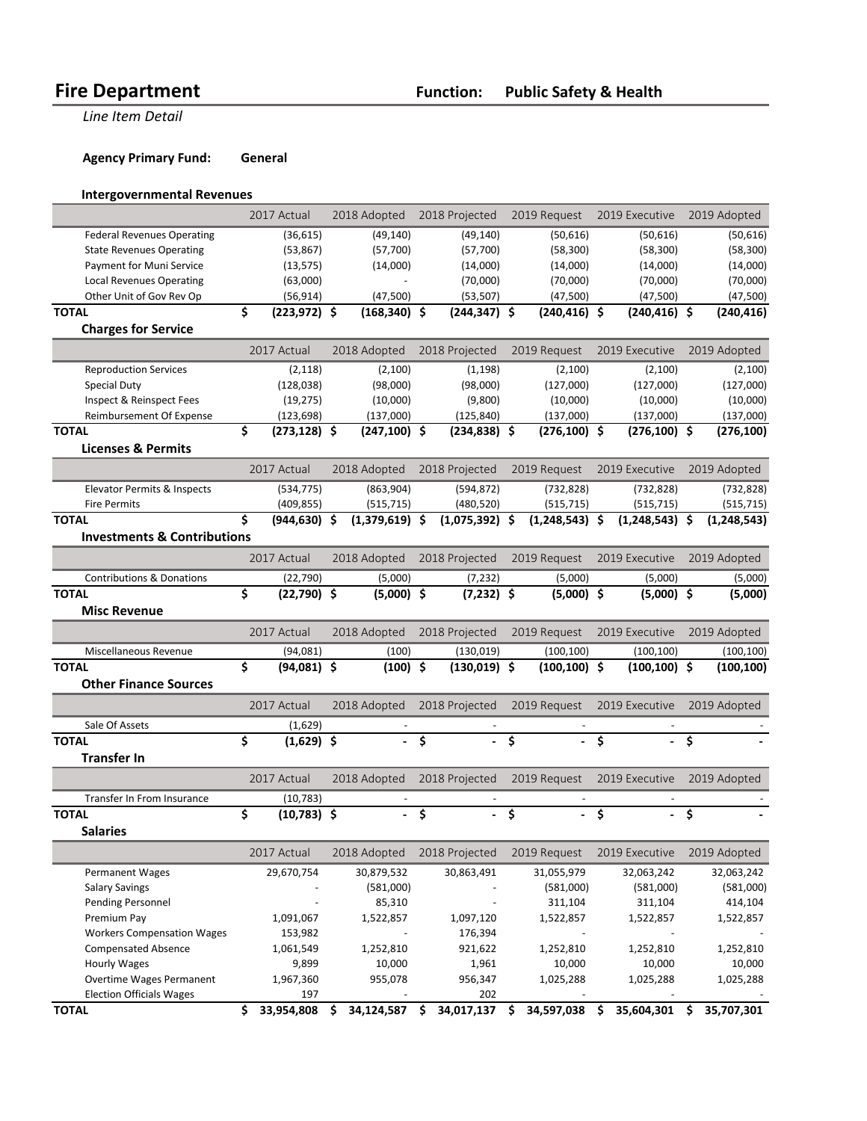**Line Item Detail** 

**Agency Primary Fund: General** 

### **Intergovernmental Revenues**

|                                        |             | 2017 Actual     |            | 2018 Adopted     |                         | 2018 Projected   |              | 2019 Request     |                                      | 2019 Executive   |    | 2019 Adopted  |
|----------------------------------------|-------------|-----------------|------------|------------------|-------------------------|------------------|--------------|------------------|--------------------------------------|------------------|----|---------------|
| <b>Federal Revenues Operating</b>      |             | (36, 615)       |            | (49, 140)        |                         | (49, 140)        |              | (50,616)         |                                      | (50, 616)        |    | (50, 616)     |
| <b>State Revenues Operating</b>        |             | (53,867)        |            | (57,700)         |                         | (57,700)         |              | (58, 300)        |                                      | (58, 300)        |    | (58, 300)     |
| Payment for Muni Service               |             | (13, 575)       |            | (14,000)         |                         | (14,000)         |              | (14,000)         |                                      | (14,000)         |    | (14,000)      |
| <b>Local Revenues Operating</b>        |             | (63,000)        |            | $\overline{a}$   |                         | (70,000)         |              | (70,000)         |                                      | (70,000)         |    | (70,000)      |
| Other Unit of Gov Rev Op               |             | (56, 914)       |            | (47,500)         |                         | (53, 507)        |              | (47,500)         | (47,500)                             |                  |    | (47,500)      |
| <b>TOTAL</b>                           | \$          | $(223, 972)$ \$ |            | $(168, 340)$ \$  |                         | $(244, 347)$ \$  |              | $(240, 416)$ \$  |                                      | $(240, 416)$ \$  |    | (240, 416)    |
| <b>Charges for Service</b>             |             |                 |            |                  |                         |                  |              |                  |                                      |                  |    |               |
|                                        |             | 2017 Actual     |            | 2018 Adopted     |                         | 2018 Projected   |              | 2019 Request     |                                      | 2019 Executive   |    | 2019 Adopted  |
| <b>Reproduction Services</b>           |             | (2, 118)        |            | (2, 100)         |                         | (1, 198)         |              | (2,100)          |                                      | (2, 100)         |    | (2,100)       |
| <b>Special Duty</b>                    |             | (128, 038)      |            | (98,000)         |                         | (98,000)         |              | (127,000)        |                                      | (127,000)        |    | (127,000)     |
| Inspect & Reinspect Fees               |             | (19, 275)       |            | (10,000)         |                         | (9,800)          |              | (10,000)         |                                      | (10,000)         |    | (10,000)      |
| Reimbursement Of Expense               |             | (123, 698)      |            | (137,000)        |                         | (125, 840)       |              | (137,000)        |                                      | (137,000)        |    | (137,000)     |
| <b>TOTAL</b>                           | \$          | $(273, 128)$ \$ |            | $(247, 100)$ \$  |                         | $(234, 838)$ \$  |              | $(276, 100)$ \$  |                                      | $(276, 100)$ \$  |    | (276, 100)    |
| <b>Licenses &amp; Permits</b>          |             |                 |            |                  |                         |                  |              |                  |                                      |                  |    |               |
|                                        |             | 2017 Actual     |            | 2018 Adopted     |                         | 2018 Projected   |              | 2019 Request     |                                      | 2019 Executive   |    | 2019 Adopted  |
|                                        |             |                 |            |                  |                         |                  |              |                  |                                      |                  |    |               |
| Elevator Permits & Inspects            |             | (534, 775)      |            | (863,904)        |                         | (594, 872)       |              | (732, 828)       |                                      | (732, 828)       |    | (732, 828)    |
| <b>Fire Permits</b>                    |             | (409, 855)      |            | (515, 715)       |                         | (480, 520)       |              | (515, 715)       |                                      | (515, 715)       |    | (515, 715)    |
| <b>TOTAL</b>                           | \$          | $(944, 630)$ \$ |            | $(1,379,619)$ \$ |                         | $(1,075,392)$ \$ |              | $(1,248,543)$ \$ |                                      | $(1,248,543)$ \$ |    | (1, 248, 543) |
| <b>Investments &amp; Contributions</b> |             |                 |            |                  |                         |                  |              |                  |                                      |                  |    |               |
|                                        |             | 2017 Actual     |            | 2018 Adopted     |                         | 2018 Projected   |              | 2019 Request     |                                      | 2019 Executive   |    | 2019 Adopted  |
| <b>Contributions &amp; Donations</b>   |             | (22, 790)       |            | (5,000)          |                         | (7, 232)         |              | (5,000)          |                                      | (5,000)          |    | (5,000)       |
| <b>TOTAL</b>                           | \$          | $(22,790)$ \$   |            | $(5,000)$ \$     |                         | $(7,232)$ \$     |              | $(5,000)$ \$     |                                      | $(5,000)$ \$     |    | (5,000)       |
| <b>Misc Revenue</b>                    |             |                 |            |                  |                         |                  |              |                  |                                      |                  |    |               |
|                                        | 2017 Actual |                 |            | 2018 Adopted     |                         | 2018 Projected   |              | 2019 Request     |                                      | 2019 Executive   |    | 2019 Adopted  |
| Miscellaneous Revenue                  |             | (94,081)        | (100)      |                  |                         | (130, 019)       |              | (100, 100)       |                                      | (100, 100)       |    | (100, 100)    |
| <b>TOTAL</b>                           | \$          | $(94,081)$ \$   | $(100)$ \$ |                  |                         | $(130, 019)$ \$  |              | $(100, 100)$ \$  |                                      | $(100, 100)$ \$  |    | (100,100)     |
| <b>Other Finance Sources</b>           |             |                 |            |                  |                         |                  |              |                  |                                      |                  |    |               |
|                                        |             |                 |            |                  |                         |                  |              |                  |                                      |                  |    |               |
|                                        |             | 2017 Actual     |            | 2018 Adopted     | 2018 Projected          |                  | 2019 Request |                  | 2019 Executive                       |                  |    | 2019 Adopted  |
| Sale Of Assets                         |             | (1,629)         |            |                  |                         |                  |              |                  |                                      |                  |    |               |
| <b>TOTAL</b>                           | \$          | $(1,629)$ \$    |            |                  | \$                      |                  | \$           |                  | Ś                                    |                  | Ś  |               |
| <b>Transfer In</b>                     |             |                 |            |                  |                         |                  |              |                  |                                      |                  |    |               |
|                                        |             | 2017 Actual     |            | 2018 Adopted     | 2018 Projected          |                  | 2019 Request |                  | 2019 Executive                       |                  |    | 2019 Adopted  |
| Transfer In From Insurance             |             | (10, 783)       |            |                  |                         |                  |              |                  |                                      |                  |    |               |
| <b>TOTAL</b>                           | \$          | $(10, 783)$ \$  |            |                  | $-\xi$                  | a.               | `\$          | $\blacksquare$   | $\overline{\boldsymbol{\mathsf{s}}}$ | - \$             |    |               |
| <b>Salaries</b>                        |             |                 |            |                  |                         |                  |              |                  |                                      |                  |    |               |
|                                        |             | 2017 Actual     |            | 2018 Adopted     |                         | 2018 Projected   |              | 2019 Request     |                                      | 2019 Executive   |    | 2019 Adopted  |
| <b>Permanent Wages</b>                 |             | 29,670,754      |            | 30,879,532       |                         | 30,863,491       |              | 31,055,979       |                                      | 32,063,242       |    | 32,063,242    |
|                                        |             |                 |            |                  |                         |                  |              |                  |                                      |                  |    |               |
| <b>Salary Savings</b>                  |             |                 |            | (581,000)        |                         |                  |              | (581,000)        |                                      | (581,000)        |    | (581,000)     |
| <b>Pending Personnel</b>               |             |                 |            | 85,310           |                         |                  |              | 311,104          |                                      | 311,104          |    | 414,104       |
| Premium Pay                            |             | 1,091,067       |            | 1,522,857        |                         | 1,097,120        |              | 1,522,857        |                                      | 1,522,857        |    | 1,522,857     |
| <b>Workers Compensation Wages</b>      |             | 153,982         |            |                  |                         | 176,394          |              |                  |                                      |                  |    |               |
| <b>Compensated Absence</b>             |             | 1,061,549       |            | 1,252,810        |                         | 921,622          |              | 1,252,810        |                                      | 1,252,810        |    | 1,252,810     |
| <b>Hourly Wages</b>                    |             | 9,899           |            | 10,000           |                         | 1,961            |              | 10,000           |                                      | 10,000           |    | 10,000        |
| <b>Overtime Wages Permanent</b>        |             | 1,967,360       |            | 955,078          |                         | 956,347          |              | 1,025,288        |                                      | 1,025,288        |    | 1,025,288     |
| <b>Election Officials Wages</b>        |             | 197             |            |                  |                         | 202              |              |                  |                                      |                  |    |               |
| <b>TOTAL</b>                           | \$          | 33,954,808      | \$         | 34,124,587       | $\overline{\mathsf{s}}$ | 34,017,137 \$    |              | 34,597,038       | \$                                   | 35,604,301       | \$ | 35,707,301    |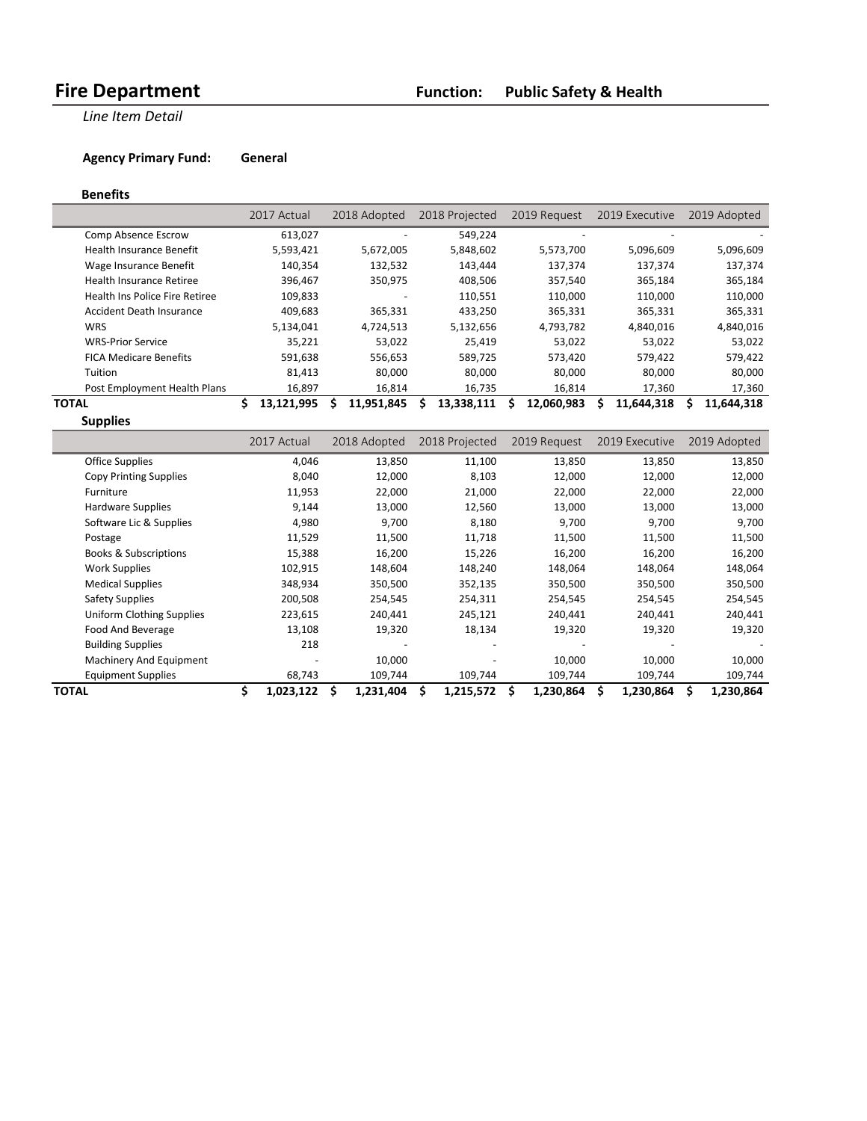**Line Item Detail** 

**Agency Primary Fund: General** 

### **Benefits**

|                                 | 2017 Actual      | 2018 Adopted    | 2018 Projected | 2019 Request | 2019 Executive  | 2019 Adopted |
|---------------------------------|------------------|-----------------|----------------|--------------|-----------------|--------------|
| Comp Absence Escrow             | 613,027          |                 | 549.224        |              |                 |              |
| <b>Health Insurance Benefit</b> | 5,593,421        | 5,672,005       | 5,848,602      | 5,573,700    | 5,096,609       | 5,096,609    |
| Wage Insurance Benefit          | 140,354          | 132,532         | 143,444        | 137,374      | 137,374         | 137,374      |
| Health Insurance Retiree        | 396.467          | 350,975         | 408.506        | 357,540      | 365.184         | 365,184      |
| Health Ins Police Fire Retiree  | 109,833          |                 | 110,551        | 110,000      | 110,000         | 110,000      |
| Accident Death Insurance        | 409,683          | 365,331         | 433,250        | 365,331      | 365,331         | 365,331      |
| <b>WRS</b>                      | 5,134,041        | 4,724,513       | 5,132,656      | 4,793,782    | 4,840,016       | 4,840,016    |
| <b>WRS-Prior Service</b>        | 35,221           | 53,022          | 25,419         | 53,022       | 53,022          | 53,022       |
| <b>FICA Medicare Benefits</b>   | 591,638          | 556,653         | 589,725        | 573,420      | 579,422         | 579,422      |
| Tuition                         | 81,413           | 80,000          | 80,000         | 80,000       | 80,000          | 80,000       |
| Post Employment Health Plans    | 16,897           | 16,814          | 16,735         | 16,814       | 17,360          | 17,360       |
| TOTAL                           | 13,121,995<br>S. | 11,951,845<br>S | 13,338,111     | 12,060,983   | 11,644,318<br>s | 11,644,318   |
| <b>Supplies</b>                 |                  |                 |                |              |                 |              |

|                                  | 2017 Actual     | 2018 Adopted | 2018 Projected | 2019 Request    | 2019 Executive | 2019 Adopted |
|----------------------------------|-----------------|--------------|----------------|-----------------|----------------|--------------|
| Office Supplies                  | 4,046           | 13,850       | 11,100         | 13,850          | 13,850         | 13,850       |
| <b>Copy Printing Supplies</b>    | 8,040           | 12,000       | 8,103          | 12,000          | 12,000         | 12,000       |
| Furniture                        | 11,953          | 22,000       | 21,000         | 22,000          | 22,000         | 22,000       |
| Hardware Supplies                | 9,144           | 13,000       | 12,560         | 13,000          | 13,000         | 13,000       |
| Software Lic & Supplies          | 4,980           | 9,700        | 8,180          | 9,700           | 9,700          | 9,700        |
| Postage                          | 11,529          | 11,500       | 11,718         | 11,500          | 11,500         | 11,500       |
| <b>Books &amp; Subscriptions</b> | 15,388          | 16,200       | 15,226         | 16,200          | 16,200         | 16,200       |
| <b>Work Supplies</b>             | 102,915         | 148,604      | 148,240        | 148,064         | 148,064        | 148,064      |
| <b>Medical Supplies</b>          | 348,934         | 350,500      | 352,135        | 350,500         | 350,500        | 350,500      |
| Safety Supplies                  | 200,508         | 254,545      | 254,311        | 254,545         | 254,545        | 254,545      |
| <b>Uniform Clothing Supplies</b> | 223,615         | 240,441      | 245,121        | 240,441         | 240,441        | 240,441      |
| Food And Beverage                | 13,108          | 19,320       | 18,134         | 19,320          | 19,320         | 19,320       |
| <b>Building Supplies</b>         | 218             |              |                |                 |                |              |
| Machinery And Equipment          |                 | 10,000       |                | 10,000          | 10,000         | 10,000       |
| <b>Equipment Supplies</b>        | 68,743          | 109,744      | 109,744        | 109,744         | 109,744        | 109,744      |
| <b>TOTAL</b>                     | \$<br>1,023,122 | 1,231,404    | 1,215,572      | Ś.<br>1,230,864 | 1,230,864      | 1,230,864    |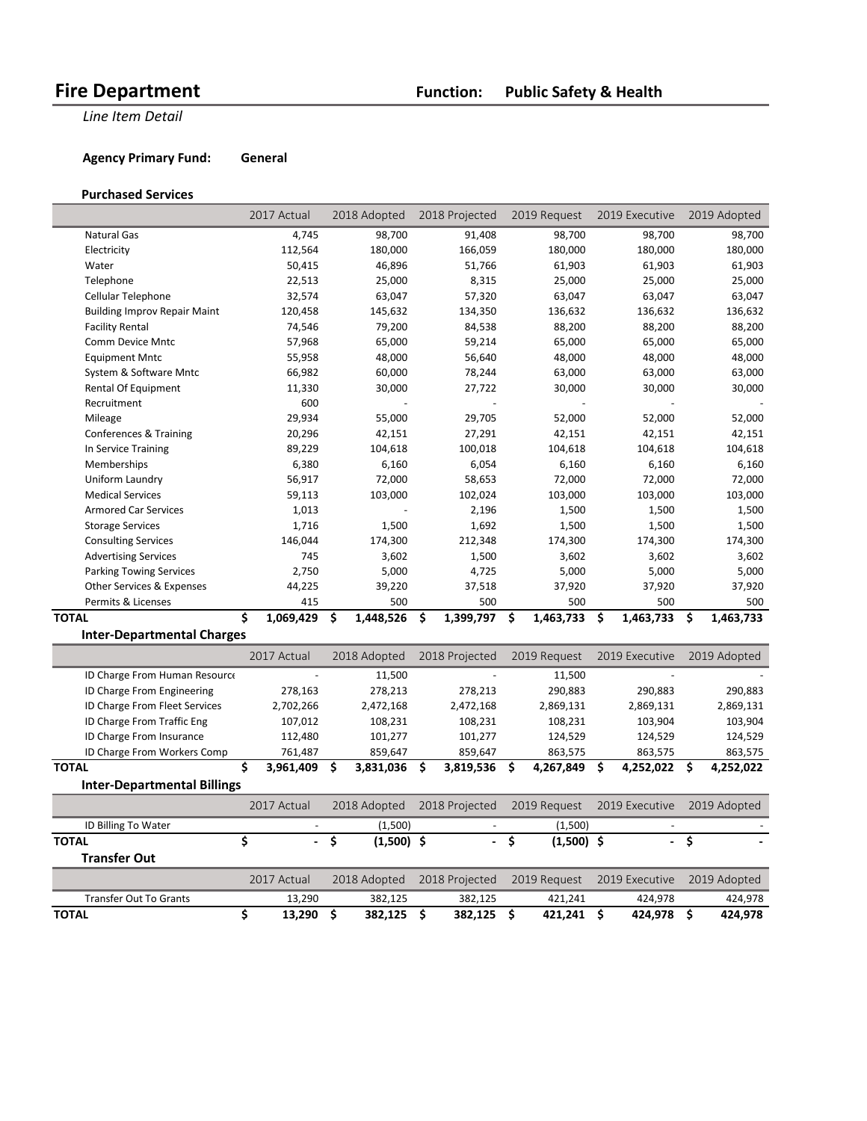**Line Item Detail** 

**Agency Primary Fund: General** 

### **Purchased Services**

|                                     | 2017 Actual                    | 2018 Adopted       | 2018 Projected           | 2019 Request             | 2019 Executive           | 2019 Adopted     |
|-------------------------------------|--------------------------------|--------------------|--------------------------|--------------------------|--------------------------|------------------|
| <b>Natural Gas</b>                  | 4,745                          | 98,700             | 91,408                   | 98,700                   | 98,700                   | 98,700           |
| Electricity                         | 112,564                        | 180,000            | 166,059                  | 180,000                  | 180,000                  | 180,000          |
| Water                               | 50,415                         | 46,896             | 51,766                   | 61,903                   | 61,903                   | 61,903           |
| Telephone                           | 22,513                         | 25,000             | 8,315                    | 25,000                   | 25,000                   | 25,000           |
| Cellular Telephone                  | 32,574                         | 63,047             | 57,320                   | 63,047                   | 63,047                   | 63,047           |
| <b>Building Improv Repair Maint</b> | 120,458                        | 145,632            | 134,350                  | 136,632                  | 136,632                  | 136,632          |
| <b>Facility Rental</b>              | 74,546                         | 79,200             | 84,538                   | 88,200                   | 88,200                   | 88,200           |
| Comm Device Mntc                    | 57,968                         | 65,000             | 59,214                   | 65,000                   | 65,000                   | 65,000           |
| <b>Equipment Mntc</b>               | 55,958                         | 48,000             | 56,640                   | 48,000                   | 48,000                   | 48,000           |
| System & Software Mntc              | 66,982                         | 60,000             | 78,244                   | 63,000                   | 63,000                   | 63,000           |
| <b>Rental Of Equipment</b>          | 11,330                         | 30,000             | 27,722                   | 30,000                   | 30,000                   | 30,000           |
| Recruitment                         | 600                            |                    |                          |                          |                          |                  |
| Mileage                             | 29,934                         | 55,000             | 29,705                   | 52,000                   | 52,000                   | 52,000           |
| Conferences & Training              | 20,296                         | 42,151             | 27,291                   | 42,151                   | 42,151                   | 42,151           |
| In Service Training                 | 89,229                         | 104,618            | 100,018                  | 104,618                  | 104,618                  | 104,618          |
| Memberships                         | 6,380                          | 6,160              | 6,054                    | 6,160                    | 6,160                    | 6,160            |
| Uniform Laundry                     | 56,917                         | 72,000             | 58,653                   | 72,000                   | 72,000                   | 72,000           |
| <b>Medical Services</b>             | 59,113                         | 103,000            | 102,024                  | 103,000                  | 103,000                  | 103,000          |
| <b>Armored Car Services</b>         | 1,013                          |                    | 2,196                    | 1,500                    | 1,500                    | 1,500            |
| <b>Storage Services</b>             | 1,716                          | 1,500              | 1,692                    | 1,500                    | 1,500                    | 1,500            |
| <b>Consulting Services</b>          | 146,044                        | 174,300            | 212,348                  | 174,300                  | 174,300                  | 174,300          |
| <b>Advertising Services</b>         | 745                            | 3,602              | 1,500                    | 3,602                    | 3,602                    | 3,602            |
| <b>Parking Towing Services</b>      | 2,750                          | 5,000              | 4,725                    | 5,000                    | 5,000                    | 5,000            |
| Other Services & Expenses           | 44,225                         | 39,220             | 37,518                   | 37,920                   | 37,920                   | 37,920           |
| Permits & Licenses                  | 415                            | 500                | 500                      | 500                      | 500                      | 500              |
| <b>TOTAL</b>                        | Ś<br>1,069,429                 | 1,448,526<br>\$    | \$<br>1,399,797          | \$<br>1,463,733          | \$.<br>1,463,733         | 1,463,733<br>.\$ |
| <b>Inter-Departmental Charges</b>   |                                |                    |                          |                          |                          |                  |
|                                     | 2017 Actual                    | 2018 Adopted       | 2018 Projected           | 2019 Request             | 2019 Executive           | 2019 Adopted     |
| ID Charge From Human Resource       |                                | 11,500             |                          | 11,500                   |                          |                  |
| ID Charge From Engineering          | 278,163                        | 278,213            | 278,213                  | 290,883                  | 290,883                  | 290,883          |
| ID Charge From Fleet Services       | 2,702,266                      | 2,472,168          | 2,472,168                | 2,869,131                | 2,869,131                | 2,869,131        |
| ID Charge From Traffic Eng          | 107,012                        | 108,231            | 108,231                  | 108,231                  | 103,904                  | 103,904          |
| ID Charge From Insurance            | 112,480                        | 101,277            | 101,277                  | 124,529                  | 124,529                  | 124,529          |
| ID Charge From Workers Comp         | 761,487                        | 859,647            | 859,647                  | 863,575                  | 863,575                  | 863,575          |
| <b>TOTAL</b>                        | \$<br>3,961,409                | \$<br>3,831,036    | \$<br>3,819,536          | 4,267,849<br>\$          | \$<br>4,252,022          | \$<br>4,252,022  |
| <b>Inter-Departmental Billings</b>  |                                |                    |                          |                          |                          |                  |
|                                     | 2017 Actual                    | 2018 Adopted       | 2018 Projected           | 2019 Request             | 2019 Executive           | 2019 Adopted     |
| ID Billing To Water                 |                                | (1,500)            |                          | (1,500)                  |                          |                  |
| <b>TOTAL</b>                        | \$<br>$\overline{\phantom{a}}$ | \$<br>$(1,500)$ \$ | $\blacksquare$           | \$<br>$(1,500)$ \$       | $\blacksquare$           | \$               |
| <b>Transfer Out</b>                 |                                |                    |                          |                          |                          |                  |
|                                     | 2017 Actual                    | 2018 Adopted       | 2018 Projected           | 2019 Request             | 2019 Executive           | 2019 Adopted     |
| <b>Transfer Out To Grants</b>       |                                | 382,125            |                          |                          |                          | 424,978          |
| <b>TOTAL</b>                        | 13,290<br>\$<br>13,290         | \$<br>382,125      | 382,125<br>\$<br>382,125 | 421,241<br>\$<br>421,241 | 424,978<br>\$<br>424,978 | \$<br>424,978    |